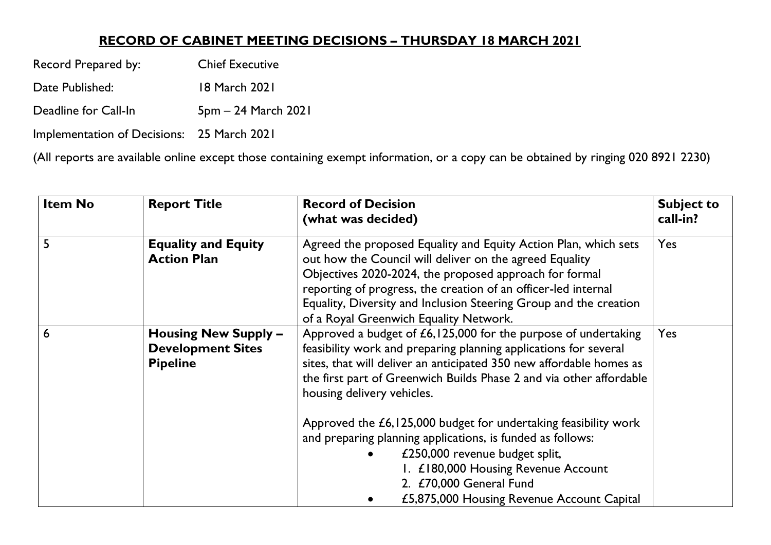## **RECORD OF CABINET MEETING DECISIONS – THURSDAY 18 MARCH 2021**

Record Prepared by: Chief Executive

Date Published: 18 March 2021

Deadline for Call-In 5pm – 24 March 2021

Implementation of Decisions: 25 March 2021

(All reports are available online except those containing exempt information, or a copy can be obtained by ringing 020 8921 2230)

| <b>Item No</b> | <b>Report Title</b>                                                        | <b>Record of Decision</b><br>(what was decided)                                                                                                                                                                                                                                                                                                                                                                                                                                   | <b>Subject to</b><br>call-in? |
|----------------|----------------------------------------------------------------------------|-----------------------------------------------------------------------------------------------------------------------------------------------------------------------------------------------------------------------------------------------------------------------------------------------------------------------------------------------------------------------------------------------------------------------------------------------------------------------------------|-------------------------------|
| 5              | <b>Equality and Equity</b><br><b>Action Plan</b>                           | Agreed the proposed Equality and Equity Action Plan, which sets<br>out how the Council will deliver on the agreed Equality<br>Objectives 2020-2024, the proposed approach for formal<br>reporting of progress, the creation of an officer-led internal<br>Equality, Diversity and Inclusion Steering Group and the creation<br>of a Royal Greenwich Equality Network.                                                                                                             | Yes                           |
| 6              | <b>Housing New Supply -</b><br><b>Development Sites</b><br><b>Pipeline</b> | Approved a budget of £6,125,000 for the purpose of undertaking<br>feasibility work and preparing planning applications for several<br>sites, that will deliver an anticipated 350 new affordable homes as<br>the first part of Greenwich Builds Phase 2 and via other affordable<br>housing delivery vehicles.<br>Approved the £6,125,000 budget for undertaking feasibility work<br>and preparing planning applications, is funded as follows:<br>£250,000 revenue budget split, | Yes                           |
|                |                                                                            | I. £180,000 Housing Revenue Account<br>2. £70,000 General Fund<br>£5,875,000 Housing Revenue Account Capital                                                                                                                                                                                                                                                                                                                                                                      |                               |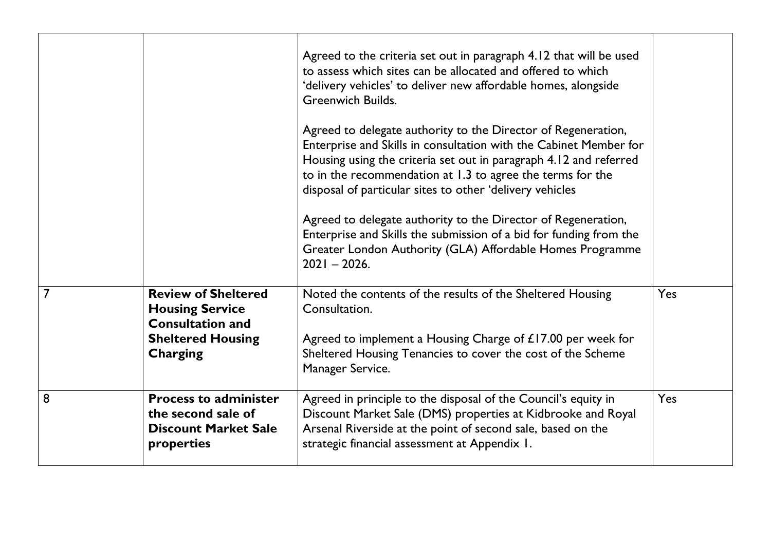|   |                                                                                                                         | Agreed to the criteria set out in paragraph 4.12 that will be used<br>to assess which sites can be allocated and offered to which<br>'delivery vehicles' to deliver new affordable homes, alongside<br><b>Greenwich Builds.</b><br>Agreed to delegate authority to the Director of Regeneration,<br>Enterprise and Skills in consultation with the Cabinet Member for<br>Housing using the criteria set out in paragraph 4.12 and referred<br>to in the recommendation at 1.3 to agree the terms for the<br>disposal of particular sites to other 'delivery vehicles<br>Agreed to delegate authority to the Director of Regeneration,<br>Enterprise and Skills the submission of a bid for funding from the<br>Greater London Authority (GLA) Affordable Homes Programme<br>$2021 - 2026$ . |            |
|---|-------------------------------------------------------------------------------------------------------------------------|---------------------------------------------------------------------------------------------------------------------------------------------------------------------------------------------------------------------------------------------------------------------------------------------------------------------------------------------------------------------------------------------------------------------------------------------------------------------------------------------------------------------------------------------------------------------------------------------------------------------------------------------------------------------------------------------------------------------------------------------------------------------------------------------|------------|
| 7 | <b>Review of Sheltered</b><br><b>Housing Service</b><br><b>Consultation and</b><br><b>Sheltered Housing</b><br>Charging | Noted the contents of the results of the Sheltered Housing<br>Consultation.<br>Agreed to implement a Housing Charge of £17.00 per week for<br>Sheltered Housing Tenancies to cover the cost of the Scheme<br>Manager Service.                                                                                                                                                                                                                                                                                                                                                                                                                                                                                                                                                               | Yes        |
| 8 | <b>Process to administer</b><br>the second sale of<br><b>Discount Market Sale</b><br>properties                         | Agreed in principle to the disposal of the Council's equity in<br>Discount Market Sale (DMS) properties at Kidbrooke and Royal<br>Arsenal Riverside at the point of second sale, based on the<br>strategic financial assessment at Appendix 1.                                                                                                                                                                                                                                                                                                                                                                                                                                                                                                                                              | <b>Yes</b> |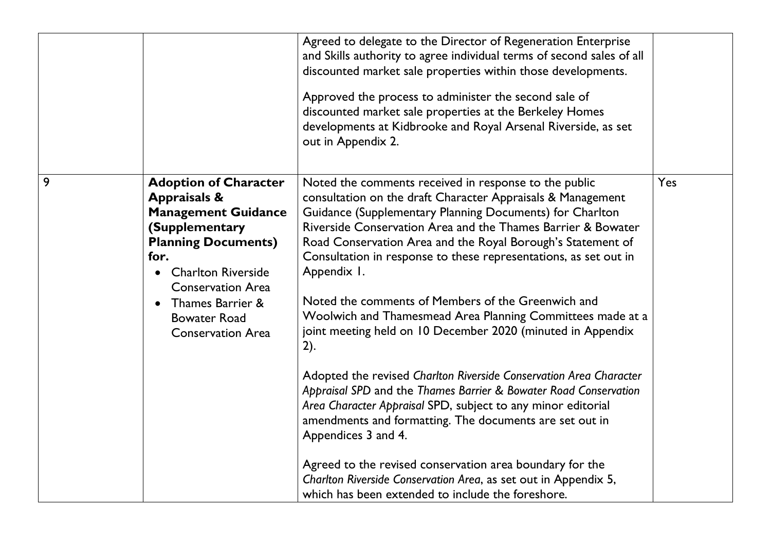|   |                                                                                                                                                                                                                                                                               | Agreed to delegate to the Director of Regeneration Enterprise<br>and Skills authority to agree individual terms of second sales of all<br>discounted market sale properties within those developments.<br>Approved the process to administer the second sale of<br>discounted market sale properties at the Berkeley Homes<br>developments at Kidbrooke and Royal Arsenal Riverside, as set<br>out in Appendix 2.                                                                                                                                                                                                                                                                                                                                                                                                                                                                                                                                                                                                                                                            |     |
|---|-------------------------------------------------------------------------------------------------------------------------------------------------------------------------------------------------------------------------------------------------------------------------------|------------------------------------------------------------------------------------------------------------------------------------------------------------------------------------------------------------------------------------------------------------------------------------------------------------------------------------------------------------------------------------------------------------------------------------------------------------------------------------------------------------------------------------------------------------------------------------------------------------------------------------------------------------------------------------------------------------------------------------------------------------------------------------------------------------------------------------------------------------------------------------------------------------------------------------------------------------------------------------------------------------------------------------------------------------------------------|-----|
| 9 | <b>Adoption of Character</b><br><b>Appraisals &amp;</b><br><b>Management Guidance</b><br>(Supplementary<br><b>Planning Documents)</b><br>for.<br><b>Charlton Riverside</b><br><b>Conservation Area</b><br>Thames Barrier &<br><b>Bowater Road</b><br><b>Conservation Area</b> | Noted the comments received in response to the public<br>consultation on the draft Character Appraisals & Management<br>Guidance (Supplementary Planning Documents) for Charlton<br>Riverside Conservation Area and the Thames Barrier & Bowater<br>Road Conservation Area and the Royal Borough's Statement of<br>Consultation in response to these representations, as set out in<br>Appendix I.<br>Noted the comments of Members of the Greenwich and<br>Woolwich and Thamesmead Area Planning Committees made at a<br>joint meeting held on 10 December 2020 (minuted in Appendix<br>2).<br>Adopted the revised Charlton Riverside Conservation Area Character<br>Appraisal SPD and the Thames Barrier & Bowater Road Conservation<br>Area Character Appraisal SPD, subject to any minor editorial<br>amendments and formatting. The documents are set out in<br>Appendices 3 and 4.<br>Agreed to the revised conservation area boundary for the<br>Charlton Riverside Conservation Area, as set out in Appendix 5,<br>which has been extended to include the foreshore. | Yes |